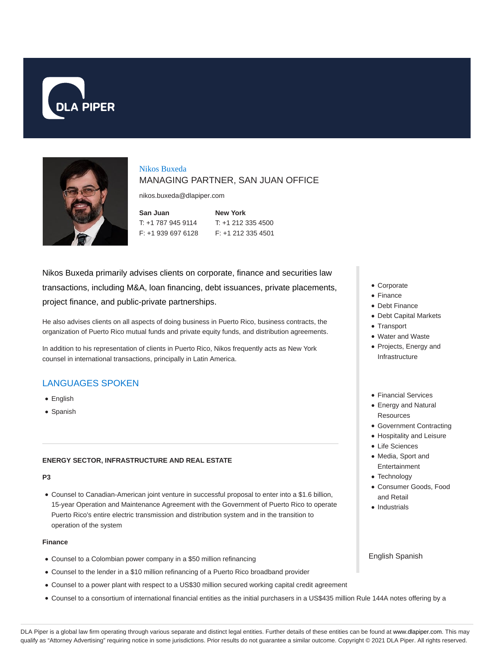



Nikos Buxeda MANAGING PARTNER, SAN JUAN OFFICE

nikos.buxeda@dlapiper.com

**San Juan** T: +1 787 945 9114 F: +1 939 697 6128

**New York** T: +1 212 335 4500 F: +1 212 335 4501

Nikos Buxeda primarily advises clients on corporate, finance and securities law transactions, including M&A, loan financing, debt issuances, private placements, project finance, and public-private partnerships.

He also advises clients on all aspects of doing business in Puerto Rico, business contracts, the organization of Puerto Rico mutual funds and private equity funds, and distribution agreements.

In addition to his representation of clients in Puerto Rico, Nikos frequently acts as New York counsel in international transactions, principally in Latin America.

# LANGUAGES SPOKEN

- English
- Spanish

## **ENERGY SECTOR, INFRASTRUCTURE AND REAL ESTATE**

## **P3**

Counsel to Canadian-American joint venture in successful proposal to enter into a \$1.6 billion, 15-year Operation and Maintenance Agreement with the Government of Puerto Rico to operate Puerto Rico's entire electric transmission and distribution system and in the transition to operation of the system

### **Finance**

- Counsel to a Colombian power company in a \$50 million refinancing
- Counsel to the lender in a \$10 million refinancing of a Puerto Rico broadband provider
- Counsel to a power plant with respect to a US\$30 million secured working capital credit agreement
- Counsel to a consortium of international financial entities as the initial purchasers in a US\$435 million Rule 144A notes offering by a
- Corporate
- Finance
- Debt Finance
- Debt Capital Markets
- Transport
- Water and Waste
- Projects, Energy and Infrastructure
- Financial Services
- Energy and Natural **Resources**
- Government Contracting
- Hospitality and Leisure
- Life Sciences
- Media, Sport and Entertainment
- Technology
- Consumer Goods, Food and Retail
- Industrials

English Spanish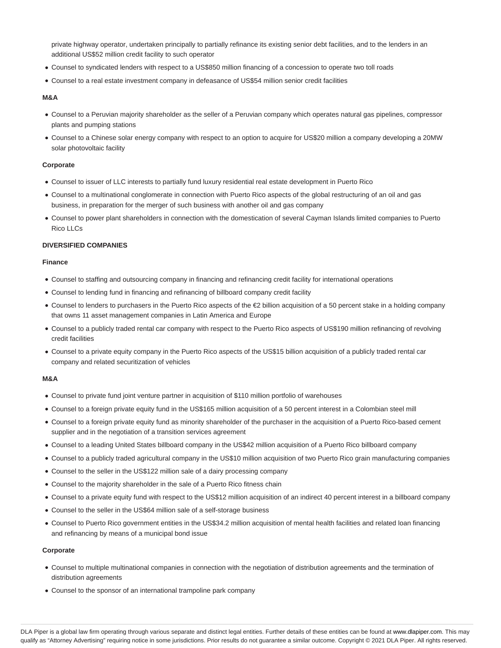private highway operator, undertaken principally to partially refinance its existing senior debt facilities, and to the lenders in an additional US\$52 million credit facility to such operator

- Counsel to syndicated lenders with respect to a US\$850 million financing of a concession to operate two toll roads
- Counsel to a real estate investment company in defeasance of US\$54 million senior credit facilities

#### **M&A**

- Counsel to a Peruvian majority shareholder as the seller of a Peruvian company which operates natural gas pipelines, compressor plants and pumping stations
- Counsel to a Chinese solar energy company with respect to an option to acquire for US\$20 million a company developing a 20MW solar photovoltaic facility

### **Corporate**

- Counsel to issuer of LLC interests to partially fund luxury residential real estate development in Puerto Rico
- Counsel to a multinational conglomerate in connection with Puerto Rico aspects of the global restructuring of an oil and gas business, in preparation for the merger of such business with another oil and gas company
- Counsel to power plant shareholders in connection with the domestication of several Cayman Islands limited companies to Puerto Rico LLCs

### **DIVERSIFIED COMPANIES**

### **Finance**

- Counsel to staffing and outsourcing company in financing and refinancing credit facility for international operations
- Counsel to lending fund in financing and refinancing of billboard company credit facility
- Counsel to lenders to purchasers in the Puerto Rico aspects of the €2 billion acquisition of a 50 percent stake in a holding company that owns 11 asset management companies in Latin America and Europe
- Counsel to a publicly traded rental car company with respect to the Puerto Rico aspects of US\$190 million refinancing of revolving credit facilities
- Counsel to a private equity company in the Puerto Rico aspects of the US\$15 billion acquisition of a publicly traded rental car company and related securitization of vehicles

#### **M&A**

- Counsel to private fund joint venture partner in acquisition of \$110 million portfolio of warehouses
- Counsel to a foreign private equity fund in the US\$165 million acquisition of a 50 percent interest in a Colombian steel mill
- Counsel to a foreign private equity fund as minority shareholder of the purchaser in the acquisition of a Puerto Rico-based cement supplier and in the negotiation of a transition services agreement
- Counsel to a leading United States billboard company in the US\$42 million acquisition of a Puerto Rico billboard company
- Counsel to a publicly traded agricultural company in the US\$10 million acquisition of two Puerto Rico grain manufacturing companies
- Counsel to the seller in the US\$122 million sale of a dairy processing company
- Counsel to the majority shareholder in the sale of a Puerto Rico fitness chain
- Counsel to a private equity fund with respect to the US\$12 million acquisition of an indirect 40 percent interest in a billboard company
- Counsel to the seller in the US\$64 million sale of a self-storage business
- Counsel to Puerto Rico government entities in the US\$34.2 million acquisition of mental health facilities and related loan financing and refinancing by means of a municipal bond issue

#### **Corporate**

- Counsel to multiple multinational companies in connection with the negotiation of distribution agreements and the termination of distribution agreements
- Counsel to the sponsor of an international trampoline park company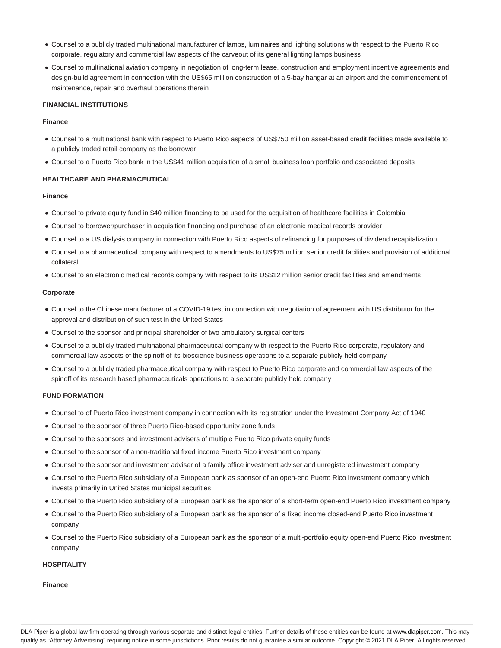- Counsel to a publicly traded multinational manufacturer of lamps, luminaires and lighting solutions with respect to the Puerto Rico corporate, regulatory and commercial law aspects of the carveout of its general lighting lamps business
- Counsel to multinational aviation company in negotiation of long-term lease, construction and employment incentive agreements and design-build agreement in connection with the US\$65 million construction of a 5-bay hangar at an airport and the commencement of maintenance, repair and overhaul operations therein

### **FINANCIAL INSTITUTIONS**

### **Finance**

- Counsel to a multinational bank with respect to Puerto Rico aspects of US\$750 million asset-based credit facilities made available to a publicly traded retail company as the borrower
- Counsel to a Puerto Rico bank in the US\$41 million acquisition of a small business loan portfolio and associated deposits

### **HEALTHCARE AND PHARMACEUTICAL**

#### **Finance**

- Counsel to private equity fund in \$40 million financing to be used for the acquisition of healthcare facilities in Colombia
- Counsel to borrower/purchaser in acquisition financing and purchase of an electronic medical records provider
- Counsel to a US dialysis company in connection with Puerto Rico aspects of refinancing for purposes of dividend recapitalization
- Counsel to a pharmaceutical company with respect to amendments to US\$75 million senior credit facilities and provision of additional collateral
- Counsel to an electronic medical records company with respect to its US\$12 million senior credit facilities and amendments

#### **Corporate**

- Counsel to the Chinese manufacturer of a COVID-19 test in connection with negotiation of agreement with US distributor for the approval and distribution of such test in the United States
- Counsel to the sponsor and principal shareholder of two ambulatory surgical centers
- Counsel to a publicly traded multinational pharmaceutical company with respect to the Puerto Rico corporate, regulatory and commercial law aspects of the spinoff of its bioscience business operations to a separate publicly held company
- Counsel to a publicly traded pharmaceutical company with respect to Puerto Rico corporate and commercial law aspects of the spinoff of its research based pharmaceuticals operations to a separate publicly held company

### **FUND FORMATION**

- Counsel to of Puerto Rico investment company in connection with its registration under the Investment Company Act of 1940
- Counsel to the sponsor of three Puerto Rico-based opportunity zone funds
- Counsel to the sponsors and investment advisers of multiple Puerto Rico private equity funds
- Counsel to the sponsor of a non-traditional fixed income Puerto Rico investment company
- Counsel to the sponsor and investment adviser of a family office investment adviser and unregistered investment company
- Counsel to the Puerto Rico subsidiary of a European bank as sponsor of an open-end Puerto Rico investment company which invests primarily in United States municipal securities
- Counsel to the Puerto Rico subsidiary of a European bank as the sponsor of a short-term open-end Puerto Rico investment company
- Counsel to the Puerto Rico subsidiary of a European bank as the sponsor of a fixed income closed-end Puerto Rico investment company
- Counsel to the Puerto Rico subsidiary of a European bank as the sponsor of a multi-portfolio equity open-end Puerto Rico investment company

## **HOSPITALITY**

#### **Finance**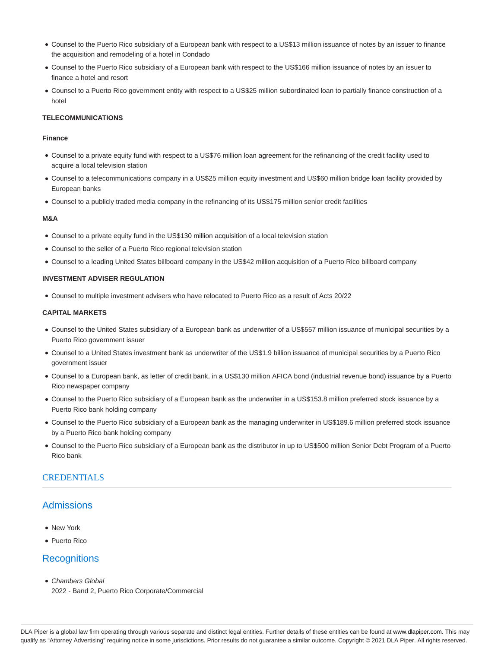- Counsel to the Puerto Rico subsidiary of a European bank with respect to a US\$13 million issuance of notes by an issuer to finance the acquisition and remodeling of a hotel in Condado
- Counsel to the Puerto Rico subsidiary of a European bank with respect to the US\$166 million issuance of notes by an issuer to finance a hotel and resort
- Counsel to a Puerto Rico government entity with respect to a US\$25 million subordinated loan to partially finance construction of a hotel

### **TELECOMMUNICATIONS**

## **Finance**

- Counsel to a private equity fund with respect to a US\$76 million loan agreement for the refinancing of the credit facility used to acquire a local television station
- Counsel to a telecommunications company in a US\$25 million equity investment and US\$60 million bridge loan facility provided by European banks
- Counsel to a publicly traded media company in the refinancing of its US\$175 million senior credit facilities

## **M&A**

- Counsel to a private equity fund in the US\$130 million acquisition of a local television station
- Counsel to the seller of a Puerto Rico regional television station
- Counsel to a leading United States billboard company in the US\$42 million acquisition of a Puerto Rico billboard company

## **INVESTMENT ADVISER REGULATION**

Counsel to multiple investment advisers who have relocated to Puerto Rico as a result of Acts 20/22

### **CAPITAL MARKETS**

- Counsel to the United States subsidiary of a European bank as underwriter of a US\$557 million issuance of municipal securities by a Puerto Rico government issuer
- Counsel to a United States investment bank as underwriter of the US\$1.9 billion issuance of municipal securities by a Puerto Rico government issuer
- Counsel to a European bank, as letter of credit bank, in a US\$130 million AFICA bond (industrial revenue bond) issuance by a Puerto Rico newspaper company
- Counsel to the Puerto Rico subsidiary of a European bank as the underwriter in a US\$153.8 million preferred stock issuance by a Puerto Rico bank holding company
- Counsel to the Puerto Rico subsidiary of a European bank as the managing underwriter in US\$189.6 million preferred stock issuance by a Puerto Rico bank holding company
- Counsel to the Puerto Rico subsidiary of a European bank as the distributor in up to US\$500 million Senior Debt Program of a Puerto Rico bank

## **CREDENTIALS**

# Admissions

- New York
- Puerto Rico

# **Recognitions**

- Chambers Global
- 2022 Band 2, Puerto Rico Corporate/Commercial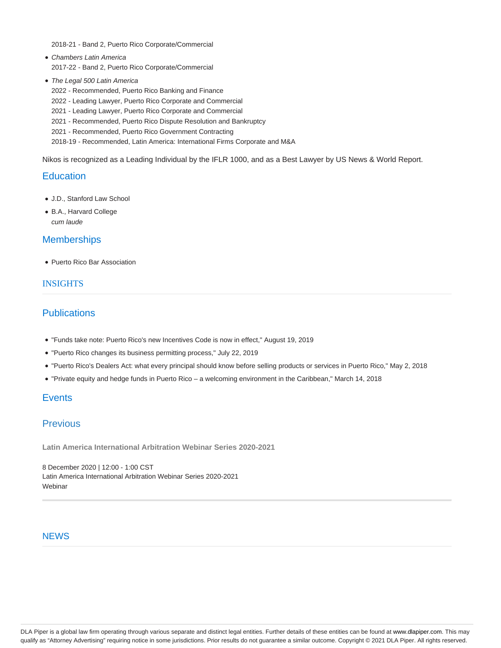2018-21 - Band 2, Puerto Rico Corporate/Commercial

- Chambers Latin America 2017-22 - Band 2, Puerto Rico Corporate/Commercial
- The Legal 500 Latin America
	- 2022 Recommended, Puerto Rico Banking and Finance
	- 2022 Leading Lawyer, Puerto Rico Corporate and Commercial
	- 2021 Leading Lawyer, Puerto Rico Corporate and Commercial
	- 2021 Recommended, Puerto Rico Dispute Resolution and Bankruptcy
	- 2021 Recommended, Puerto Rico Government Contracting

2018-19 - Recommended, Latin America: International Firms Corporate and M&A

Nikos is recognized as a Leading Individual by the IFLR 1000, and as a Best Lawyer by US News & World Report.

## **Education**

- J.D., Stanford Law School
- B.A., Harvard College cum laude

## **Memberships**

• Puerto Rico Bar Association

## **INSIGHTS**

## **Publications**

- "Funds take note: Puerto Rico's new Incentives Code is now in effect," August 19, 2019
- "Puerto Rico changes its business permitting process," July 22, 2019
- "Puerto Rico's Dealers Act: what every principal should know before selling products or services in Puerto Rico," May 2, 2018
- "Private equity and hedge funds in Puerto Rico a welcoming environment in the Caribbean," March 14, 2018

# **Events**

## Previous

**Latin America International Arbitration Webinar Series 2020-2021**

8 December 2020 | 12:00 - 1:00 CST Latin America International Arbitration Webinar Series 2020-2021 **Webinar** 

## **NEWS**

DLA Piper is a global law firm operating through various separate and distinct legal entities. Further details of these entities can be found at www.dlapiper.com. This may qualify as "Attorney Advertising" requiring notice in some jurisdictions. Prior results do not guarantee a similar outcome. Copyright © 2021 DLA Piper. All rights reserved.